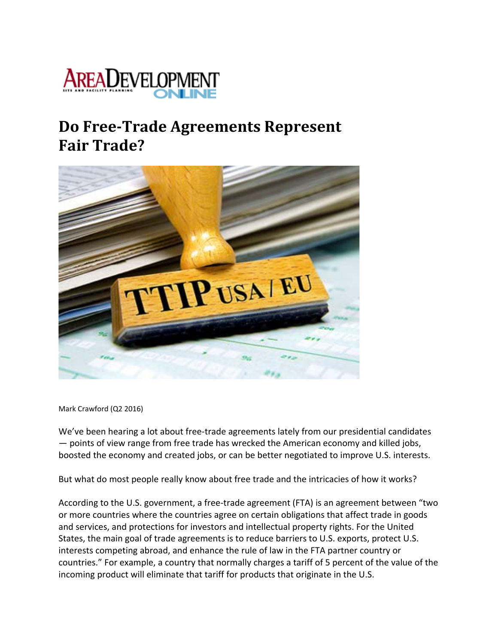

## **Do FreeTrade Agreements Represent Fair Trade?**



Mark Crawford (Q2 2016)

We've been hearing a lot about free-trade agreements lately from our presidential candidates — points of view range from free trade has wrecked the American economy and killed jobs, boosted the economy and created jobs, or can be better negotiated to improve U.S. interests.

But what do most people really know about free trade and the intricacies of how it works?

According to the U.S. government, a free-trade agreement (FTA) is an agreement between "two or more countries where the countries agree on certain obligations that affect trade in goods and services, and protections for investors and intellectual property rights. For the United States, the main goal of trade agreements is to reduce barriers to U.S. exports, protect U.S. interests competing abroad, and enhance the rule of law in the FTA partner country or countries." For example, a country that normally charges a tariff of 5 percent of the value of the incoming product will eliminate that tariff for products that originate in the U.S.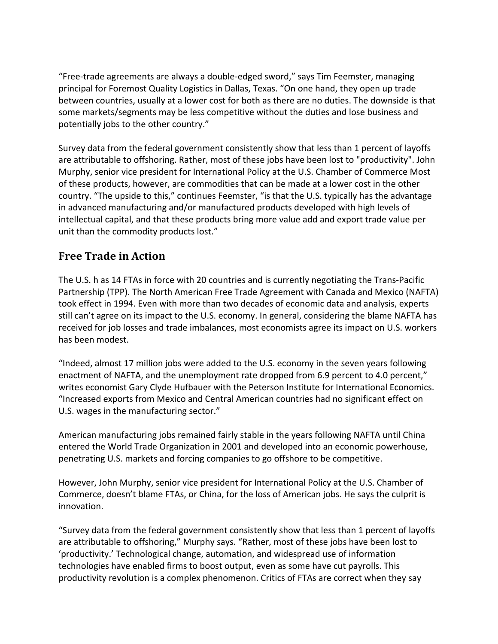"Free‐trade agreements are always a double‐edged sword," says Tim Feemster, managing principal for Foremost Quality Logistics in Dallas, Texas. "On one hand, they open up trade between countries, usually at a lower cost for both as there are no duties. The downside is that some markets/segments may be less competitive without the duties and lose business and potentially jobs to the other country."

Survey data from the federal government consistently show that less than 1 percent of layoffs are attributable to offshoring. Rather, most of these jobs have been lost to "productivity". John Murphy, senior vice president for International Policy at the U.S. Chamber of Commerce Most of these products, however, are commodities that can be made at a lower cost in the other country. "The upside to this," continues Feemster, "is that the U.S. typically has the advantage in advanced manufacturing and/or manufactured products developed with high levels of intellectual capital, and that these products bring more value add and export trade value per unit than the commodity products lost."

## **Free Trade in Action**

The U.S. h as 14 FTAs in force with 20 countries and is currently negotiating the Trans‐Pacific Partnership (TPP). The North American Free Trade Agreement with Canada and Mexico (NAFTA) took effect in 1994. Even with more than two decades of economic data and analysis, experts still can't agree on its impact to the U.S. economy. In general, considering the blame NAFTA has received for job losses and trade imbalances, most economists agree its impact on U.S. workers has been modest.

"Indeed, almost 17 million jobs were added to the U.S. economy in the seven years following enactment of NAFTA, and the unemployment rate dropped from 6.9 percent to 4.0 percent," writes economist Gary Clyde Hufbauer with the Peterson Institute for International Economics. "Increased exports from Mexico and Central American countries had no significant effect on U.S. wages in the manufacturing sector."

American manufacturing jobs remained fairly stable in the years following NAFTA until China entered the World Trade Organization in 2001 and developed into an economic powerhouse, penetrating U.S. markets and forcing companies to go offshore to be competitive.

However, John Murphy, senior vice president for International Policy at the U.S. Chamber of Commerce, doesn't blame FTAs, or China, for the loss of American jobs. He says the culprit is innovation.

"Survey data from the federal government consistently show that less than 1 percent of layoffs are attributable to offshoring," Murphy says. "Rather, most of these jobs have been lost to 'productivity.' Technological change, automation, and widespread use of information technologies have enabled firms to boost output, even as some have cut payrolls. This productivity revolution is a complex phenomenon. Critics of FTAs are correct when they say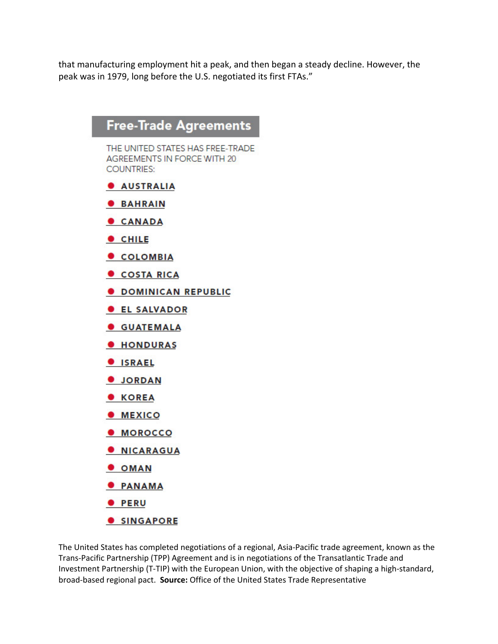that manufacturing employment hit a peak, and then began a steady decline. However, the peak was in 1979, long before the U.S. negotiated its first FTAs."



The United States has completed negotiations of a regional, Asia‐Pacific trade agreement, known as the Trans‐Pacific Partnership (TPP) Agreement and is in negotiations of the Transatlantic Trade and Investment Partnership (T‐TIP) with the European Union, with the objective of shaping a high‐standard, broad‐based regional pact. **Source:** Office of the United States Trade Representative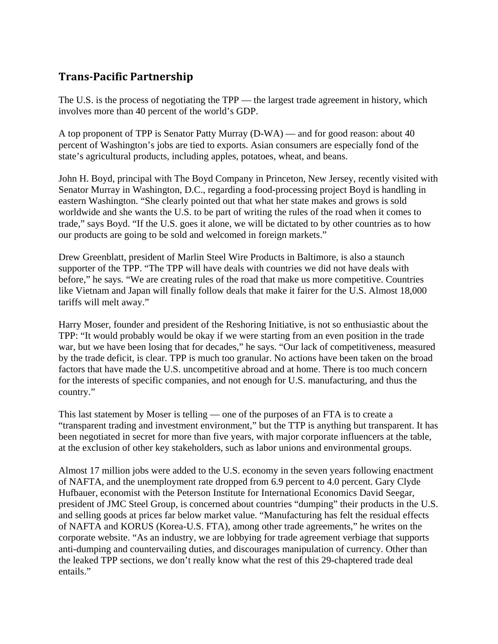## **TransPacific Partnership**

The U.S. is the process of negotiating the TPP — the largest trade agreement in history, which involves more than 40 percent of the world's GDP.

A top proponent of TPP is Senator Patty Murray (D-WA) — and for good reason: about 40 percent of Washington's jobs are tied to exports. Asian consumers are especially fond of the state's agricultural products, including apples, potatoes, wheat, and beans.

John H. Boyd, principal with The Boyd Company in Princeton, New Jersey, recently visited with Senator Murray in Washington, D.C., regarding a food-processing project Boyd is handling in eastern Washington. "She clearly pointed out that what her state makes and grows is sold worldwide and she wants the U.S. to be part of writing the rules of the road when it comes to trade," says Boyd. "If the U.S. goes it alone, we will be dictated to by other countries as to how our products are going to be sold and welcomed in foreign markets."

Drew Greenblatt, president of Marlin Steel Wire Products in Baltimore, is also a staunch supporter of the TPP. "The TPP will have deals with countries we did not have deals with before," he says. "We are creating rules of the road that make us more competitive. Countries like Vietnam and Japan will finally follow deals that make it fairer for the U.S. Almost 18,000 tariffs will melt away."

Harry Moser, founder and president of the Reshoring Initiative, is not so enthusiastic about the TPP: "It would probably would be okay if we were starting from an even position in the trade war, but we have been losing that for decades," he says. "Our lack of competitiveness, measured by the trade deficit, is clear. TPP is much too granular. No actions have been taken on the broad factors that have made the U.S. uncompetitive abroad and at home. There is too much concern for the interests of specific companies, and not enough for U.S. manufacturing, and thus the country."

This last statement by Moser is telling — one of the purposes of an FTA is to create a "transparent trading and investment environment," but the TTP is anything but transparent. It has been negotiated in secret for more than five years, with major corporate influencers at the table, at the exclusion of other key stakeholders, such as labor unions and environmental groups.

Almost 17 million jobs were added to the U.S. economy in the seven years following enactment of NAFTA, and the unemployment rate dropped from 6.9 percent to 4.0 percent. Gary Clyde Hufbauer, economist with the Peterson Institute for International Economics David Seegar, president of JMC Steel Group, is concerned about countries "dumping" their products in the U.S. and selling goods at prices far below market value. "Manufacturing has felt the residual effects of NAFTA and KORUS (Korea-U.S. FTA), among other trade agreements," he writes on the corporate website. "As an industry, we are lobbying for trade agreement verbiage that supports anti-dumping and countervailing duties, and discourages manipulation of currency. Other than the leaked TPP sections, we don't really know what the rest of this 29-chaptered trade deal entails."